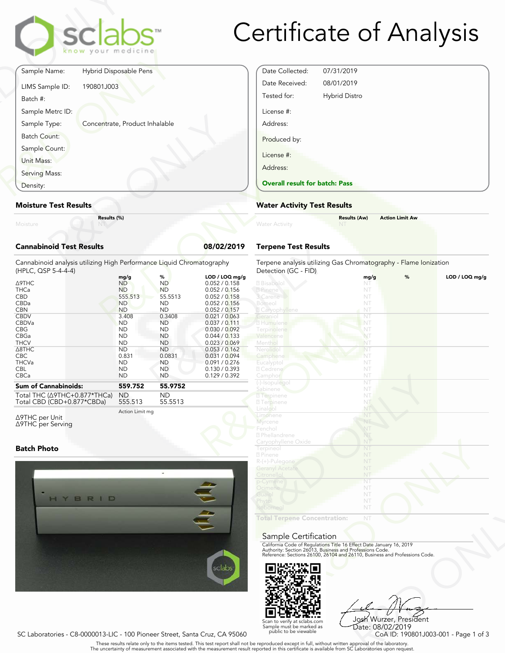

# Certificate of Analysis

|                                 | <b>Clabs</b><br>know your medicine |          |
|---------------------------------|------------------------------------|----------|
| Sample Name:                    | Hybrid Disposable Pens             |          |
| LIMS Sample ID:<br>Batch #:     | 190801J003                         |          |
| Sample Metrc ID:                |                                    |          |
| Sample Type:                    | Concentrate, Product Inhalable     |          |
| Batch Count:                    |                                    |          |
| Sample Count:                   |                                    |          |
| Unit Mass:                      |                                    |          |
| Serving Mass:                   |                                    |          |
| Density:                        |                                    |          |
| <b>Moisture Test Results</b>    |                                    |          |
| Moisture                        | Results (%)                        |          |
| <b>Cannabinoid Test Results</b> |                                    | 08/02/20 |

### Moisture Test Results

## Cannabinoid Test Results 08/02/2019

| Density:                                                                                                                                                                                                                                                                                      | <b>Overall result for batc</b>                                                                                                                                                                |                                                                                                                                                                                              |                                                                                                                                                                                                                                                                               |                                                                                                                                                                                                                                                               |
|-----------------------------------------------------------------------------------------------------------------------------------------------------------------------------------------------------------------------------------------------------------------------------------------------|-----------------------------------------------------------------------------------------------------------------------------------------------------------------------------------------------|----------------------------------------------------------------------------------------------------------------------------------------------------------------------------------------------|-------------------------------------------------------------------------------------------------------------------------------------------------------------------------------------------------------------------------------------------------------------------------------|---------------------------------------------------------------------------------------------------------------------------------------------------------------------------------------------------------------------------------------------------------------|
| <b>Moisture Test Results</b>                                                                                                                                                                                                                                                                  | <b>Water Activity Test R</b>                                                                                                                                                                  |                                                                                                                                                                                              |                                                                                                                                                                                                                                                                               |                                                                                                                                                                                                                                                               |
| Results (%)<br>Moisture                                                                                                                                                                                                                                                                       |                                                                                                                                                                                               |                                                                                                                                                                                              |                                                                                                                                                                                                                                                                               | <b>Water Activity</b>                                                                                                                                                                                                                                         |
| <b>Cannabinoid Test Results</b>                                                                                                                                                                                                                                                               |                                                                                                                                                                                               |                                                                                                                                                                                              | 08/02/2019                                                                                                                                                                                                                                                                    | <b>Terpene Test Results</b>                                                                                                                                                                                                                                   |
| Cannabinoid analysis utilizing High Performance Liquid Chromatography<br>(HPLC, QSP 5-4-4-4)<br>Δ9THC<br><b>THCa</b><br><b>CBD</b><br>CBDa<br><b>CBN</b><br><b>CBDV</b><br>CBDVa<br><b>CBG</b><br>CBGa<br><b>THCV</b><br>$\triangle$ 8THC<br><b>CBC</b><br><b>THCVa</b><br><b>CBL</b><br>CBCa | mg/g<br><b>ND</b><br><b>ND</b><br>555.513<br><b>ND</b><br><b>ND</b><br>3.408<br><b>ND</b><br><b>ND</b><br><b>ND</b><br><b>ND</b><br><b>ND</b><br>0.831<br><b>ND</b><br><b>ND</b><br><b>ND</b> | %<br><b>ND</b><br><b>ND</b><br>55.5513<br><b>ND</b><br><b>ND</b><br>0.3408<br><b>ND</b><br><b>ND</b><br><b>ND</b><br><b>ND</b><br><b>ND</b><br>0.0831<br><b>ND</b><br><b>ND</b><br><b>ND</b> | LOD / LOQ mg/g<br>0.052 / 0.158<br>0.052 / 0.156<br>0.052 / 0.158<br>0.052 / 0.156<br>0.052 / 0.157<br>0.021 / 0.063<br>0.037 / 0.111<br>0.030 / 0.092<br>0.044 / 0.133<br>0.023 / 0.069<br>0.053 / 0.162<br>0.031 / 0.094<br>0.091 / 0.276<br>0.130 / 0.393<br>0.129 / 0.392 | Terpene analysis utilizing<br>Detection (GC - FID)<br>2 Bisabolol<br>2 Pinene<br>3 Carene<br>Borneol<br><b>Z</b> Caryophyllene<br>Geraniol<br>2 Humulene<br>Terpinolene<br>Valencene<br>Menthol<br>Nerolido<br>Camphene<br>Eucalyptol<br>2 Cedrene<br>Camphor |
| <b>Sum of Cannabinoids:</b><br>Total THC (∆9THC+0.877*THCa)                                                                                                                                                                                                                                   | 559.752<br>ND                                                                                                                                                                                 | 55.9752<br><b>ND</b>                                                                                                                                                                         |                                                                                                                                                                                                                                                                               | (-)-Isopulegol<br>Sabinene<br><b>7</b> Terpinene                                                                                                                                                                                                              |

Total THC (Δ9THC+0.877\*THCa) Total CBD (CBD+0.877\*CBDa)

555.513 55.5513

Δ9THC per Unit Δ9THC per Serving Action Limit mg

#### Batch Photo



| Date Collected:                       | 07/31/2019           |
|---------------------------------------|----------------------|
| Date Received:                        | 08/01/2019           |
| Tested for:                           | <b>Hybrid Distro</b> |
| License #:                            |                      |
| Address:                              |                      |
| Produced by:                          |                      |
| License #:                            |                      |
| Address:                              |                      |
| <b>Overall result for batch: Pass</b> |                      |

#### Water Activity Test Results

| Water Activity | <b>Results (Aw)</b><br><b>NT</b> | <b>Action Limit Aw</b> |
|----------------|----------------------------------|------------------------|
|                |                                  |                        |

## Terpene Test Results

| atography      | Terpene analysis utilizing Gas Chromatography - Flame Ionization<br>Detection (GC - FID)                                                                                                                       |      |   |                |
|----------------|----------------------------------------------------------------------------------------------------------------------------------------------------------------------------------------------------------------|------|---|----------------|
| LOD / LOQ mg/g |                                                                                                                                                                                                                | mg/g | % | LOD / LOQ mq/q |
| 0.052 / 0.158  | 2 Bisabolol                                                                                                                                                                                                    | NT   |   |                |
| 0.052 / 0.156  | 2 Pinene                                                                                                                                                                                                       | NT   |   |                |
| 0.052 / 0.158  | 3 Carene                                                                                                                                                                                                       | NT   |   |                |
| 0.052 / 0.156  | Borneol                                                                                                                                                                                                        | NT   |   |                |
| 0.052 / 0.157  | <b>Z</b> Caryophyllene                                                                                                                                                                                         | NT   |   |                |
| 0.021 / 0.063  | Geraniol                                                                                                                                                                                                       | NT   |   |                |
| 0.037 / 0.111  | 2 Humulene                                                                                                                                                                                                     | NT   |   |                |
| 0.030 / 0.092  | Terpinolene                                                                                                                                                                                                    | NT   |   |                |
| 0.044 / 0.133  | Valencene                                                                                                                                                                                                      | NT   |   |                |
| 0.023 / 0.069  | Menthol                                                                                                                                                                                                        | NT   |   |                |
| 0.053 / 0.162  | Nerolidol                                                                                                                                                                                                      | NT   |   |                |
| 0.031 / 0.094  | Camphene                                                                                                                                                                                                       | NT   |   |                |
| 0.091 / 0.276  | Eucalyptol                                                                                                                                                                                                     | NT   |   |                |
| 0.130 / 0.393  | 7 Cedrene                                                                                                                                                                                                      | NT   |   |                |
| 0.129 / 0.392  | Camphor                                                                                                                                                                                                        | NT   |   |                |
|                | (-)-Isopulegol                                                                                                                                                                                                 | NT   |   |                |
|                | Sabinene                                                                                                                                                                                                       | NT   |   |                |
|                | 2 Terpinene                                                                                                                                                                                                    | NT.  |   |                |
|                | <b>7</b> Terpinene                                                                                                                                                                                             | NT   |   |                |
|                | Linalool                                                                                                                                                                                                       | NT   |   |                |
|                | Limonene                                                                                                                                                                                                       | NT   |   |                |
|                | Myrcene                                                                                                                                                                                                        | NT   |   |                |
|                | Fenchol                                                                                                                                                                                                        | NT   |   |                |
|                | 2 Phellandrene                                                                                                                                                                                                 | NT   |   |                |
|                | Caryophyllene Oxide                                                                                                                                                                                            | NT   |   |                |
|                | Terpineol                                                                                                                                                                                                      | NT   |   |                |
|                | 2 Pinene                                                                                                                                                                                                       | NT   |   |                |
|                |                                                                                                                                                                                                                | NT   |   |                |
|                | R-(+)-Pulegone                                                                                                                                                                                                 |      |   |                |
|                | <b>Geranyl Acetate</b>                                                                                                                                                                                         | NT   |   |                |
|                | Citronellol                                                                                                                                                                                                    | NT   |   |                |
|                | p-Cymene                                                                                                                                                                                                       | NT   |   |                |
|                | Ocimene                                                                                                                                                                                                        | NT   |   |                |
|                | Guaiol                                                                                                                                                                                                         | NT   |   |                |
|                | Phytol                                                                                                                                                                                                         | NT   |   |                |
|                | <b>Isoborneo</b>                                                                                                                                                                                               | NT   |   |                |
|                | <b>Total Terpene Concentration:</b>                                                                                                                                                                            | NT   |   |                |
|                |                                                                                                                                                                                                                |      |   |                |
|                |                                                                                                                                                                                                                |      |   |                |
|                | Sample Certification                                                                                                                                                                                           |      |   |                |
|                |                                                                                                                                                                                                                |      |   |                |
|                | California Code of Regulations Title 16 Effect Date January 16, 2019<br>Authority: Section 26013, Business and Professions Code.<br>Reference: Sections 26100, 26104 and 26110, Business and Professions Code. |      |   |                |
|                |                                                                                                                                                                                                                |      |   |                |
|                |                                                                                                                                                                                                                |      |   |                |
|                |                                                                                                                                                                                                                |      |   |                |
| sclabs         |                                                                                                                                                                                                                |      |   |                |
|                |                                                                                                                                                                                                                |      |   |                |

#### Sample Certification



NT<br>
NT<br>
Fect Date January 16, 2019<br>
rofessions Code.<br>
9110, Business and Professions Code.<br>
910, Business and Professions Code.<br>
920, Code ID: 190801J003-001 - Page 1 of 3<br>
pproval of the laboratories upon request. Josh Wurzer, President Date: 08/02/2019

SC Laboratories - C8-0000013-LIC - 100 Pioneer Street, Santa Cruz, CA 95060

Scan to verify at sclabs.com Sample must be marked as public to be viewable

. These results relate only to the items tested. This test report shall not be reproduced except in full, without written approval of the laboratory.<br>The uncertainty of measurement associated with the measurement result re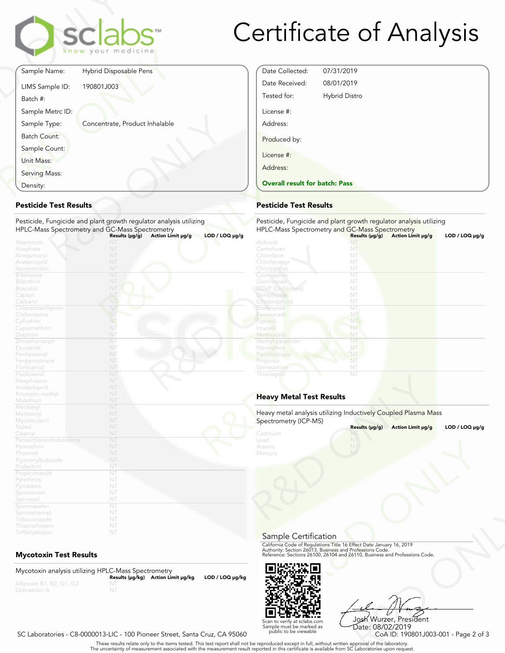

# Certificate of Analysis

Date Collected: 07/31/2019 Date Received: 08/01/2019 Tested for: Hybrid Distro

Overall result for batch: Pass

License #: Address:

Produced by:

License #: Address:

|                             | sclabs<br>know your medicine   |
|-----------------------------|--------------------------------|
| Sample Name:                | Hybrid Disposable Pens         |
| LIMS Sample ID:<br>Batch #: | 190801J003                     |
| Sample Metrc ID:            |                                |
| Sample Type:                | Concentrate, Product Inhalable |
| <b>Batch Count:</b>         |                                |
| Sample Count:               |                                |
| Unit Mass:                  |                                |
| Serving Mass:               |                                |
| Density:                    |                                |

## Pesticide Test Results

| Density:                                                                                       | <b>Overall result for batc</b>                                                                                        |                                                                                    |
|------------------------------------------------------------------------------------------------|-----------------------------------------------------------------------------------------------------------------------|------------------------------------------------------------------------------------|
| <b>Pesticide Test Results</b>                                                                  |                                                                                                                       | <b>Pesticide Test Results</b>                                                      |
|                                                                                                | Pesticide, Fungicide and plant growth regulator analysis utilizing<br>HPLC-Mass Spectrometry and GC-Mass Spectrometry | Pesticide, Fungicide and<br><b>HPLC-Mass Spectrometry</b>                          |
| Abamectin<br>Acephate<br>Acequinocyl<br>Acetamiprid<br>Azoxystrobin                            | $LOD / LOQ \mu g/g$<br>Results (µg/g)<br>Action Limit µg/g<br>NT<br>NT<br>NT<br>NT<br>NT                              | Aldicarb<br>Carbofuran<br>Chlordane<br>Chlorfenapyr<br>Chlorpyritos                |
| Bifenazate<br>Bifenthrin<br><b>Boscalid</b><br>Captan<br>Carbaryl                              | NT<br>NT<br>NT<br>NT<br>NT                                                                                            | Coumaphos<br>Daminozide<br>DDVP (Dichlorvos)<br><b>Dimethoate</b><br>Ethoprop(hos) |
| Chlorantraniliprole<br>Clofentezine<br>Cyfluthrin<br>Cypermethrin                              | NT<br>NT<br>NT<br>NT                                                                                                  | Etofenprox<br>Fenoxycarb<br>Fipronil<br>Imazalil                                   |
| Diazinon<br>Dimethomorph<br>Etoxazole<br>Fenhexamid<br>Fenpyroximate                           | NT<br>NT<br>NT<br>NT<br>NT<br>NT                                                                                      | Methiocarb<br>Methyl parathion<br>Mevinphos<br>Paclobutrazo<br>Propoxur            |
| Flonicamid<br>Fludioxonil<br>Hexythiazox<br>Imidacloprid                                       | NT<br>NT<br>NT                                                                                                        | Spiroxamine<br>Thiacloprid                                                         |
| Kresoxim-methyl<br>Malathion                                                                   | NT<br>NT                                                                                                              | <b>Heavy Metal Test Res</b>                                                        |
| Metalaxyl<br>Methomyl<br>Myclobutanil<br>Naled                                                 | NT<br>NT<br>NT<br>NT                                                                                                  | Heavy metal analysis utiliz<br>Spectrometry (ICP-MS)                               |
| Oxamyl<br>Pentachloronitrobenzene<br>Permethrin<br>Phosmet<br>Piperonylbutoxide<br>Prallethrin | NT<br>NT<br>NT<br>NT<br>NT<br>NT                                                                                      | Cadmium<br>Lead<br>Arsenic<br>Mercury                                              |
| Propiconazole<br>Pyrethrins<br>Pyridaben<br>Spinetoram<br>Spinosad                             | NT<br>NT<br>NT<br>NT<br>NT                                                                                            |                                                                                    |
| Spiromesifen<br>Spirotetramat<br>Tebuconazole<br>Thiamethoxam<br>Trifloxystrobin               | NT<br>NT<br>NT<br>NT<br>NT                                                                                            |                                                                                    |

# Mycotoxin Test Results

Mycotoxin analysis utilizing HPLC-Mass Spectrometry Results (μg/kg) Action Limit μg/kg LOD / LOQ μg/kg NT



R&D ONLY Josh Wurzer, President Date: 08/02/2019

SC Laboratories - C8-0000013-LIC - 100 Pioneer Street, Santa Cruz, CA 95060

. These results relate only to the items tested. This test report shall not be reproduced except in full, without written approval of the laboratory.<br>The uncertainty of measurement associated with the measurement result re

Scan to verify at sclabs.com Sample must be marked as public to be viewable

|                     | <b>Pesticide Test Results</b>                                  |                                                                    |                   |                     |  |  |
|---------------------|----------------------------------------------------------------|--------------------------------------------------------------------|-------------------|---------------------|--|--|
| ıg                  |                                                                | Pesticide, Fungicide and plant growth regulator analysis utilizing |                   |                     |  |  |
|                     | HPLC-Mass Spectrometry and GC-Mass Spectrometry                |                                                                    |                   |                     |  |  |
| $LOD / LOQ \mu g/g$ | Aldicarb                                                       | Results (µg/g)                                                     | Action Limit µg/g | LOD / LOQ $\mu$ g/g |  |  |
|                     | Carbofuran                                                     | NT<br>NT                                                           |                   |                     |  |  |
|                     | Chlordane                                                      | NT                                                                 |                   |                     |  |  |
|                     | Chlorfenapyr                                                   | NT                                                                 |                   |                     |  |  |
|                     | Chlorpyrifos                                                   | NT                                                                 |                   |                     |  |  |
|                     | Coumaphos                                                      | NT                                                                 |                   |                     |  |  |
|                     | Daminozide                                                     | NT                                                                 |                   |                     |  |  |
|                     | <b>DDVP</b> (Dichlorvos)                                       | NT                                                                 |                   |                     |  |  |
|                     | <b>Dimethoate</b>                                              | NT                                                                 |                   |                     |  |  |
|                     | Ethoprop(hos)                                                  | NT                                                                 |                   |                     |  |  |
|                     | Etofenprox                                                     | NT                                                                 |                   |                     |  |  |
|                     | Fenoxycarb                                                     | NT                                                                 |                   |                     |  |  |
|                     | Fipronil                                                       | NT                                                                 |                   |                     |  |  |
|                     | Imazalil                                                       | NT                                                                 |                   |                     |  |  |
|                     | Methiocarb                                                     | NT                                                                 |                   |                     |  |  |
|                     | Methyl parathion                                               | NT                                                                 |                   |                     |  |  |
|                     |                                                                | NT                                                                 |                   |                     |  |  |
|                     | Mevinphos<br>Paclobutrazol                                     | NT                                                                 |                   |                     |  |  |
|                     |                                                                | NT                                                                 |                   |                     |  |  |
|                     | Propoxur                                                       |                                                                    |                   |                     |  |  |
|                     | Spiroxamine                                                    | NT<br>NT                                                           |                   |                     |  |  |
|                     | Thiacloprid                                                    |                                                                    |                   |                     |  |  |
|                     | <b>Heavy Metal Test Results</b>                                |                                                                    |                   |                     |  |  |
|                     | Heavy metal analysis utilizing Inductively Coupled Plasma Mass |                                                                    |                   |                     |  |  |
|                     | Spectrometry (ICP-MS)                                          | Results (µg/g)                                                     | Action Limit µg/g | LOD / LOQ $\mu$ g/g |  |  |
|                     | Cadmium                                                        | NT                                                                 |                   |                     |  |  |
|                     | Lead                                                           | Nī                                                                 |                   |                     |  |  |
|                     | Arsenic                                                        |                                                                    |                   |                     |  |  |
|                     | Mercury                                                        | NT                                                                 |                   |                     |  |  |
|                     |                                                                |                                                                    |                   |                     |  |  |

# Heavy Metal Test Results

| Spectrometry (ICP-MS)                 | Heavy metal analysis utilizing Inductively Coupled Plasma Mass                                                                                                                                                 |                     |
|---------------------------------------|----------------------------------------------------------------------------------------------------------------------------------------------------------------------------------------------------------------|---------------------|
|                                       | Results (µg/g)<br>Action Limit µg/g                                                                                                                                                                            | LOD / LOQ $\mu$ g/g |
| Cadmium<br>Lead<br>Arsenic<br>Mercury | NT                                                                                                                                                                                                             |                     |
| Sample Certification                  |                                                                                                                                                                                                                |                     |
|                                       | California Code of Regulations Title 16 Effect Date January 16, 2019<br>Authority: Section 26013, Business and Professions Code.<br>Reference: Sections 26100, 26104 and 26110, Business and Professions Code. |                     |
|                                       |                                                                                                                                                                                                                |                     |